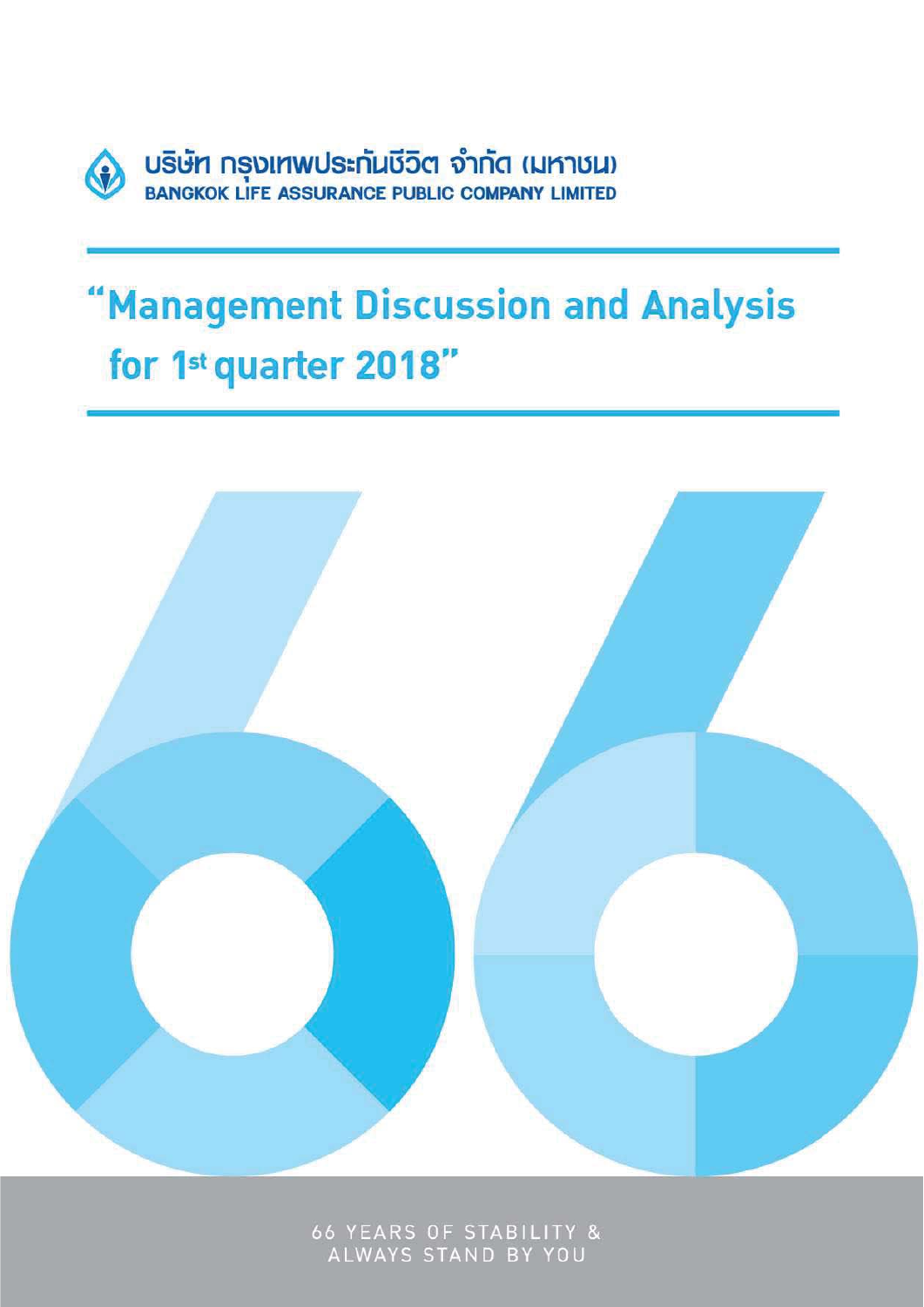

# "Management Discussion and Analysis for 1st quarter 2018"



66 YEARS OF STABILITY &<br>ALWAYS STAND BY YOU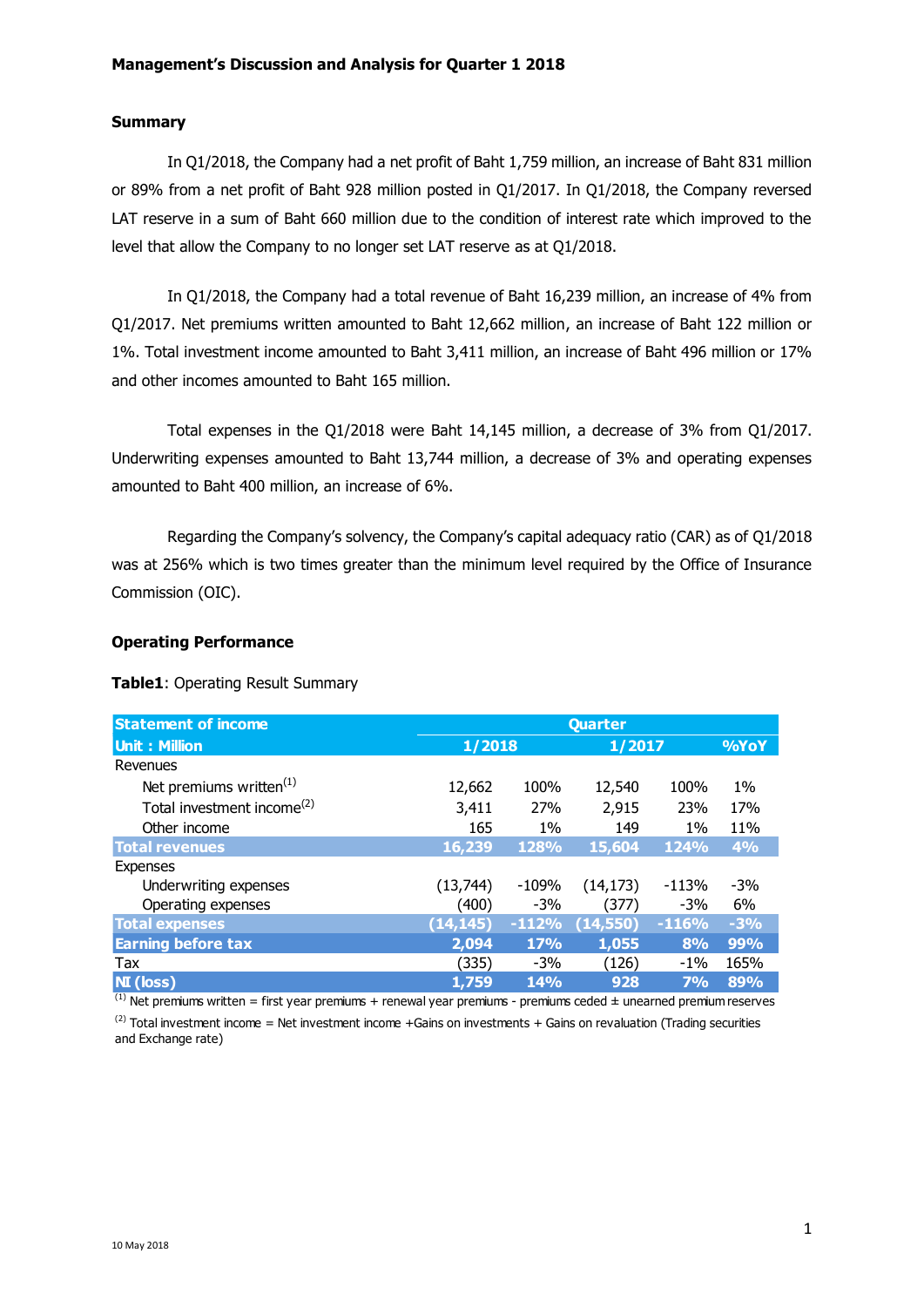## **Summary**

In Q1/2018, the Company had a net profit of Baht 1,759 million, an increase of Baht 831 million or 89% from a net profit of Baht 928 million posted in Q1/2017. In Q1/2018, the Company reversed LAT reserve in a sum of Baht 660 million due to the condition of interest rate which improved to the level that allow the Company to no longer set LAT reserve as at Q1/2018.

In Q1/2018, the Company had a total revenue of Baht 16,239 million, an increase of 4% from Q1/2017. Net premiums written amounted to Baht 12,662 million, an increase of Baht 122 million or 1%. Total investment income amounted to Baht 3,411 million, an increase of Baht 496 million or 17% and other incomes amounted to Baht 165 million.

Total expenses in the Q1/2018 were Baht 14,145 million, a decrease of 3% from Q1/2017. Underwriting expenses amounted to Baht 13,744 million, a decrease of 3% and operating expenses amounted to Baht 400 million, an increase of 6%.

Regarding the Company's solvency, the Company's capital adequacy ratio (CAR) as of Q1/2018 was at 256% which is two times greater than the minimum level required by the Office of Insurance Commission (OIC).

## **Operating Performance**

#### **Table1**: Operating Result Summary

| <b>Statement of income</b>             | <b>Quarter</b> |             |           |         |       |
|----------------------------------------|----------------|-------------|-----------|---------|-------|
| <b>Unit: Million</b>                   | 1/2018         |             | 1/2017    |         | %YoY  |
| Revenues                               |                |             |           |         |       |
| Net premiums written <sup>(1)</sup>    | 12,662         | 100%        | 12,540    | 100%    | $1\%$ |
| Total investment income <sup>(2)</sup> | 3,411          | 27%         | 2,915     | 23%     | 17%   |
| Other income                           | 165            | $1\%$       | 149       | $1\%$   | 11%   |
| <b>Total revenues</b>                  | 16,239         | <b>128%</b> | 15,604    | 124%    | 4%    |
| <b>Expenses</b>                        |                |             |           |         |       |
| Underwriting expenses                  | (13, 744)      | -109%       | (14, 173) | $-113%$ | $-3%$ |
| Operating expenses                     | (400)          | $-3%$       | (377)     | $-3%$   | 6%    |
| <b>Total expenses</b>                  | (14, 145)      | $-112%$     | (14, 550) | $-116%$ | $-3%$ |
| <b>Earning before tax</b>              | 2,094          | <b>17%</b>  | 1,055     | 8%      | 99%   |
| Tax                                    | (335)          | $-3%$       | (126)     | $-1\%$  | 165%  |
| <b>NI</b> (loss)                       | 1,759          | <b>14%</b>  | 928       | 7%      | 89%   |

 $^{(1)}$  Net premiums written = first year premiums + renewal year premiums - premiums ceded  $\pm$  unearned premium reserves  $^{(2)}$  Total investment income = Net investment income +Gains on investments + Gains on revaluation (Trading securities

and Exchange rate)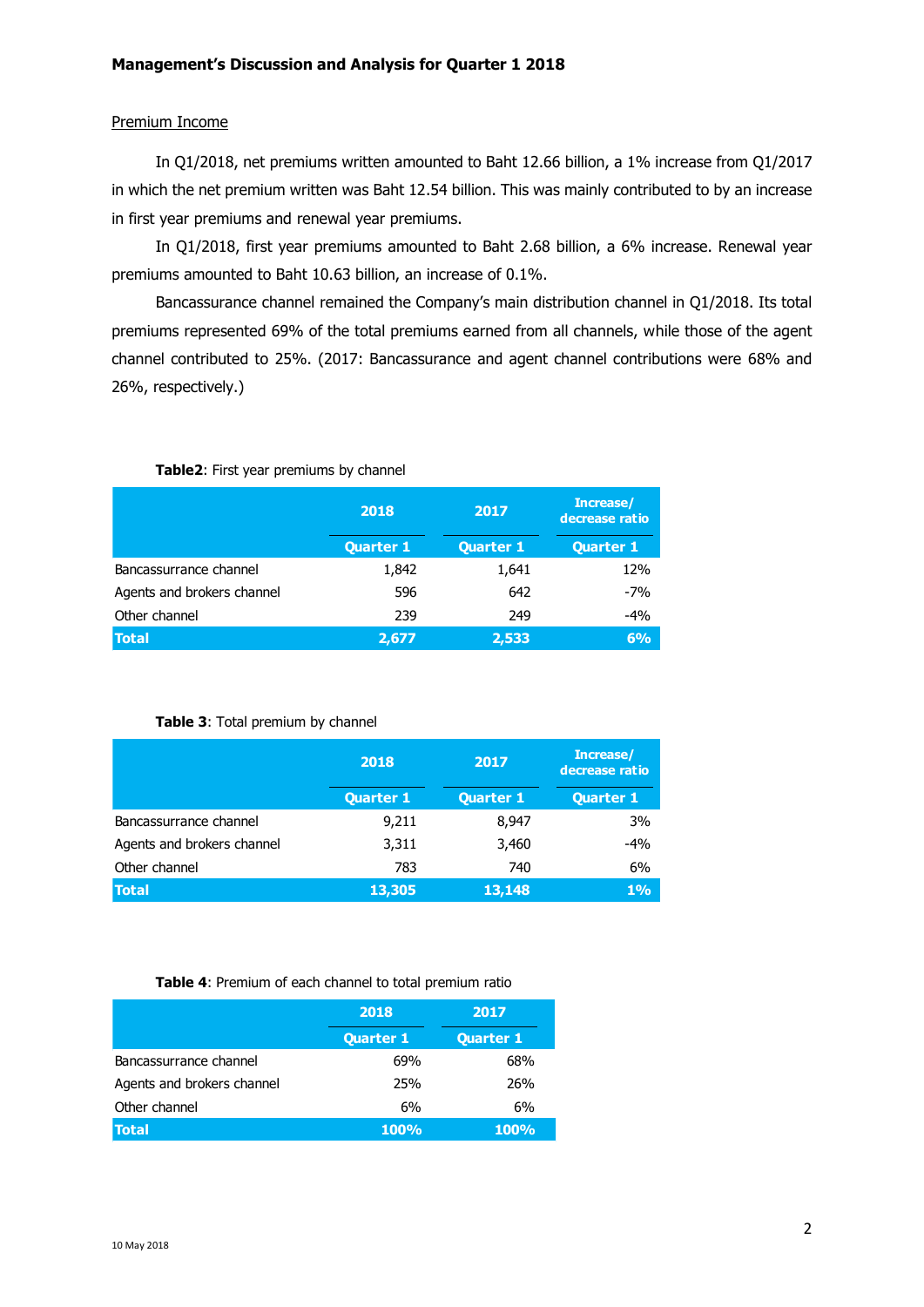#### Premium Income

In Q1/2018, net premiums written amounted to Baht 12.66 billion, a 1% increase from Q1/2017 in which the net premium written was Baht 12.54 billion. This was mainly contributed to by an increase in first year premiums and renewal year premiums.

In Q1/2018, first year premiums amounted to Baht 2.68 billion, a 6% increase. Renewal year premiums amounted to Baht 10.63 billion, an increase of 0.1%.

Bancassurance channel remained the Company's main distribution channel in Q1/2018. Its total premiums represented 69% of the total premiums earned from all channels, while those of the agent channel contributed to 25%. (2017: Bancassurance and agent channel contributions were 68% and 26%, respectively.)

|                            | 2018<br><b>Quarter 1</b> | 2017<br><b>Quarter 1</b> | Increase/<br>decrease ratio<br><b>Quarter 1</b> |
|----------------------------|--------------------------|--------------------------|-------------------------------------------------|
| Bancassurrance channel     | 1,842                    | 1,641                    | 12%                                             |
| Agents and brokers channel | 596                      | 642                      | $-7%$                                           |
| Other channel              | 239                      | 249                      | -4%                                             |
| <b>Total</b>               | 2,677                    | 2,533                    | 6%                                              |

#### **Table2**: First year premiums by channel

#### **Table 3**: Total premium by channel

|                            | 2018<br><b>Quarter 1</b> | 2017<br><b>Quarter 1</b> | Increase/<br>decrease ratio<br><b>Quarter 1</b> |
|----------------------------|--------------------------|--------------------------|-------------------------------------------------|
| Bancassurrance channel     | 9,211                    | 8,947                    | 3%                                              |
| Agents and brokers channel | 3,311                    | 3,460                    | $-4%$                                           |
| Other channel              | 783                      | 740                      | 6%                                              |
| <b>Total</b>               | 13,305                   | 13,148                   | $1\%$                                           |

#### **Table 4**: Premium of each channel to total premium ratio

|                            | 2018             | 2017             |
|----------------------------|------------------|------------------|
|                            | <b>Quarter 1</b> | <b>Quarter 1</b> |
| Bancassurrance channel     | 69%              | 68%              |
| Agents and brokers channel | 25%              | 26%              |
| Other channel              | 6%               | 6%               |
| <b>Total</b>               | <b>100%</b>      | <b>100%</b>      |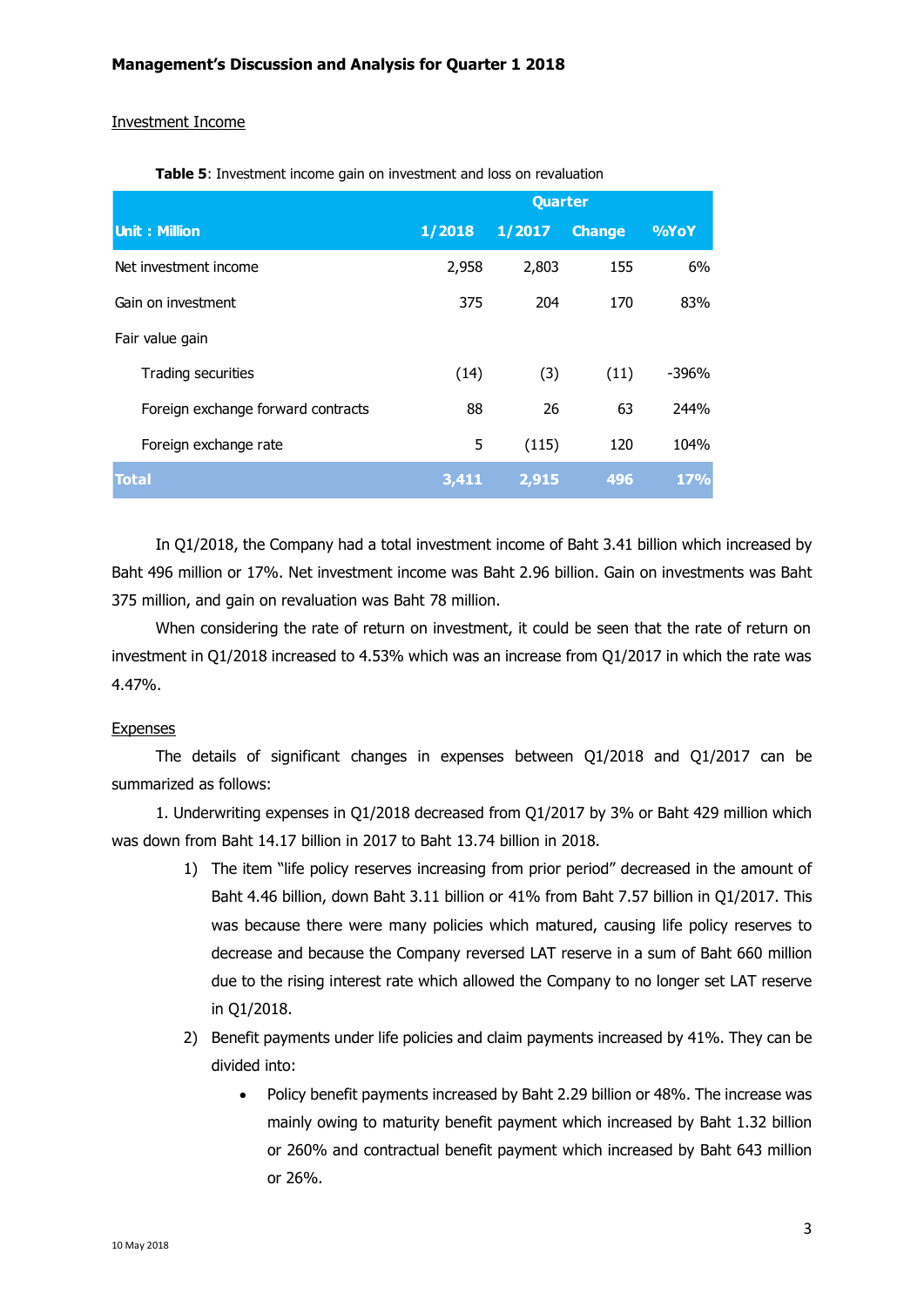#### Investment Income

|                                    | Quarter |        |               |            |
|------------------------------------|---------|--------|---------------|------------|
| <b>Unit: Million</b>               | 1/2018  | 1/2017 | <b>Change</b> | %YoY       |
| Net investment income              | 2,958   | 2,803  | 155           | 6%         |
| Gain on investment                 | 375     | 204    | 170           | 83%        |
| Fair value gain                    |         |        |               |            |
| Trading securities                 | (14)    | (3)    | (11)          | -396%      |
| Foreign exchange forward contracts | 88      | 26     | 63            | 244%       |
| Foreign exchange rate              | 5       | (115)  | 120           | 104%       |
| <b>Total</b>                       | 3,411   | 2,915  | 496           | <b>17%</b> |

**Table 5**: Investment income gain on investment and loss on revaluation

In Q1/2018, the Company had a total investment income of Baht 3.41 billion which increased by Baht 496 million or 17%. Net investment income was Baht 2.96 billion. Gain on investments was Baht 375 million, and gain on revaluation was Baht 78 million.

When considering the rate of return on investment, it could be seen that the rate of return on investment in Q1/2018 increased to 4.53% which was an increase from Q1/2017 in which the rate was 4.47%.

# Expenses

The details of significant changes in expenses between Q1/2018 and Q1/2017 can be summarized as follows:

1. Underwriting expenses in Q1/2018 decreased from Q1/2017 by 3% or Baht 429 million which was down from Baht 14.17 billion in 2017 to Baht 13.74 billion in 2018.

- 1) The item "life policy reserves increasing from prior period" decreased in the amount of Baht 4.46 billion, down Baht 3.11 billion or 41% from Baht 7.57 billion in Q1/2017. This was because there were many policies which matured, causing life policy reserves to decrease and because the Company reversed LAT reserve in a sum of Baht 660 million due to the rising interest rate which allowed the Company to no longer set LAT reserve in Q1/2018.
- 2) Benefit payments under life policies and claim payments increased by 41%. They can be divided into:
	- Policy benefit payments increased by Baht 2.29 billion or 48%. The increase was mainly owing to maturity benefit payment which increased by Baht 1.32 billion or 260% and contractual benefit payment which increased by Baht 643 million or 26%.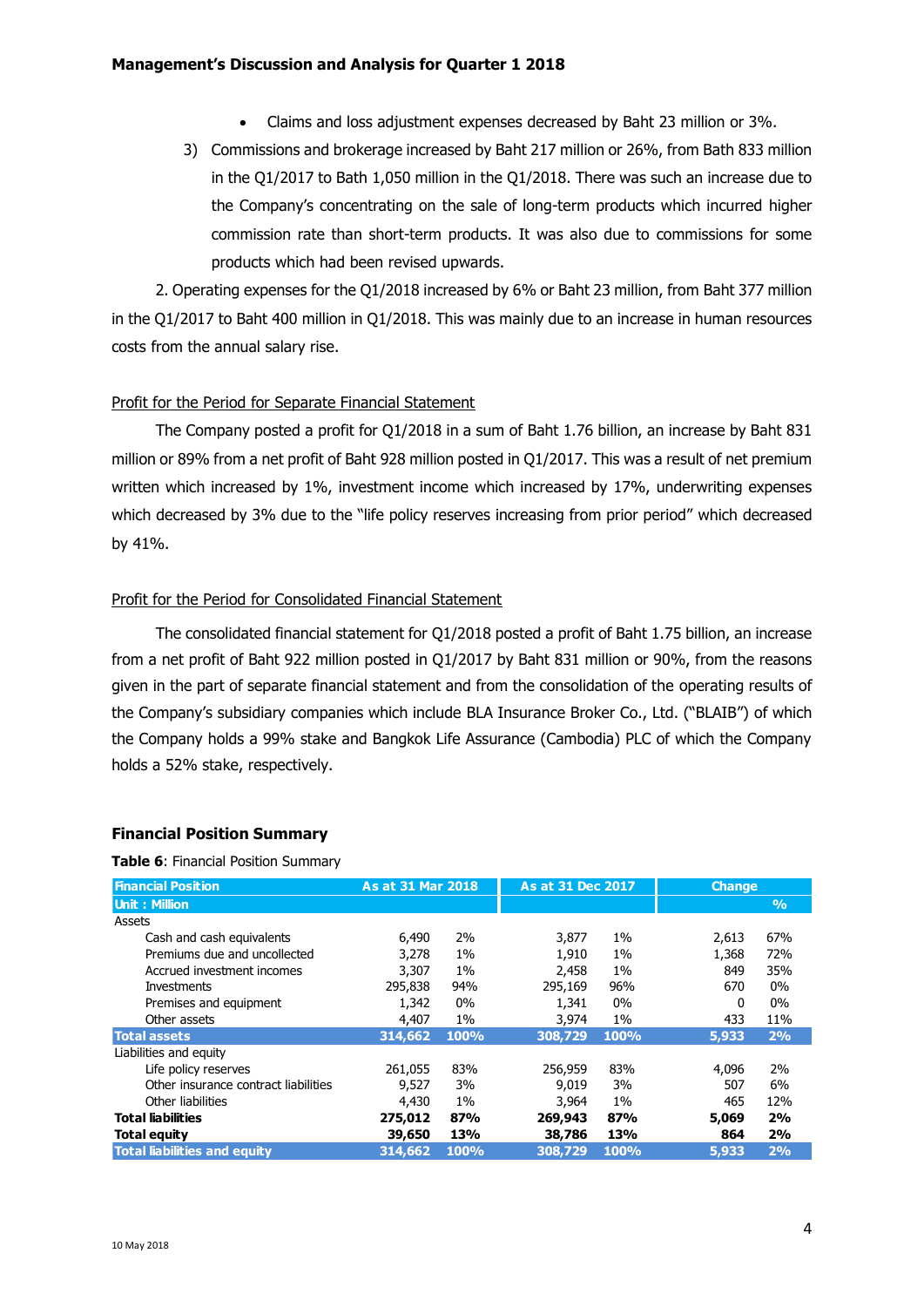- Claims and loss adjustment expenses decreased by Baht 23 million or 3%.
- 3) Commissions and brokerage increased by Baht 217 million or 26%, from Bath 833 million in the Q1/2017 to Bath 1,050 million in the Q1/2018. There was such an increase due to the Company's concentrating on the sale of long-term products which incurred higher commission rate than short-term products. It was also due to commissions for some products which had been revised upwards.

2. Operating expenses for the Q1/2018 increased by 6% or Baht 23 million, from Baht 377 million in the Q1/2017 to Baht 400 million in Q1/2018. This was mainly due to an increase in human resources costs from the annual salary rise.

# Profit for the Period for Separate Financial Statement

The Company posted a profit for Q1/2018 in a sum of Baht 1.76 billion, an increase by Baht 831 million or 89% from a net profit of Baht 928 million posted in Q1/2017. This was a result of net premium written which increased by 1%, investment income which increased by 17%, underwriting expenses which decreased by 3% due to the "life policy reserves increasing from prior period" which decreased by 41%.

## Profit for the Period for Consolidated Financial Statement

The consolidated financial statement for Q1/2018 posted a profit of Baht 1.75 billion, an increase from a net profit of Baht 922 million posted in Q1/2017 by Baht 831 million or 90%, from the reasons given in the part of separate financial statement and from the consolidation of the operating results of the Company's subsidiary companies which include BLA Insurance Broker Co., Ltd. ("BLAIB") of which the Company holds a 99% stake and Bangkok Life Assurance (Cambodia) PLC of which the Company holds a 52% stake, respectively.

# **Financial Position Summary**

**Table 6**: Financial Position Summary

| <b>Financial Position</b>            | As at 31 Mar 2018 |       | As at 31 Dec 2017 |       | <b>Change</b> |               |
|--------------------------------------|-------------------|-------|-------------------|-------|---------------|---------------|
| <b>Unit: Million</b>                 |                   |       |                   |       |               | $\frac{9}{6}$ |
| Assets                               |                   |       |                   |       |               |               |
| Cash and cash equivalents            | 6,490             | 2%    | 3,877             | $1\%$ | 2,613         | 67%           |
| Premiums due and uncollected         | 3,278             | $1\%$ | 1,910             | $1\%$ | 1,368         | 72%           |
| Accrued investment incomes           | 3,307             | $1\%$ | 2,458             | 1%    | 849           | 35%           |
| Investments                          | 295,838           | 94%   | 295,169           | 96%   | 670           | $0\%$         |
| Premises and equipment               | 1,342             | $0\%$ | 1,341             | 0%    | $\Omega$      | $0\%$         |
| Other assets                         | 4,407             | $1\%$ | 3,974             | $1\%$ | 433           | 11%           |
| <b>Total assets</b>                  | 314,662           | 100%  | 308,729           | 100%  | 5,933         | 2%            |
| Liabilities and equity               |                   |       |                   |       |               |               |
| Life policy reserves                 | 261,055           | 83%   | 256,959           | 83%   | 4,096         | 2%            |
| Other insurance contract liabilities | 9,527             | 3%    | 9.019             | 3%    | 507           | 6%            |
| Other liabilities                    | 4,430             | $1\%$ | 3,964             | $1\%$ | 465           | 12%           |
| <b>Total liabilities</b>             | 275,012           | 87%   | 269,943           | 87%   | 5,069         | 2%            |
| <b>Total equity</b>                  | 39,650            | 13%   | 38,786            | 13%   | 864           | 2%            |
| <b>Total liabilities and equity</b>  | 314,662           | 100%  | 308,729           | 100%  | 5,933         | 2%            |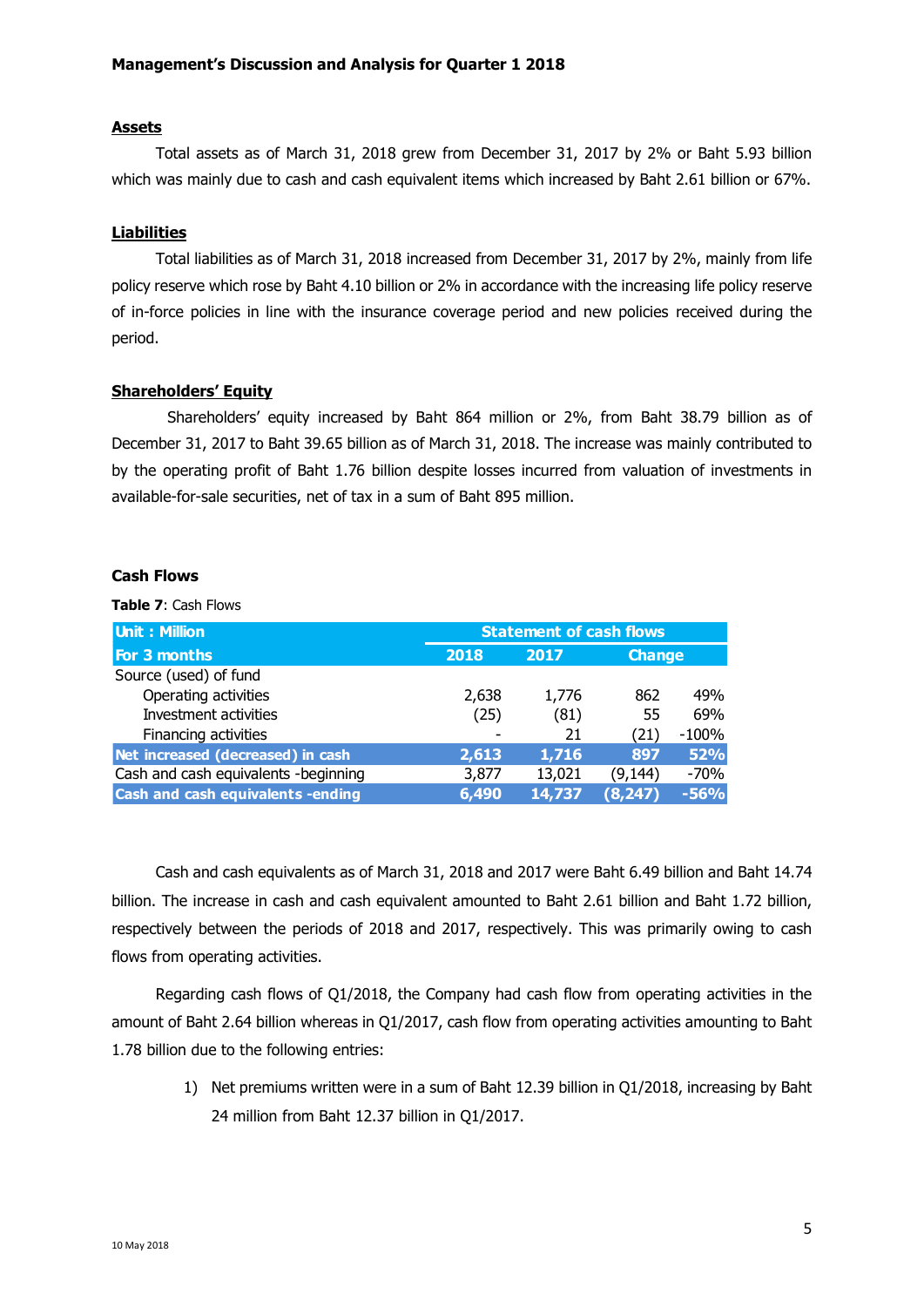# **Assets**

Total assets as of March 31, 2018 grew from December 31, 2017 by 2% or Baht 5.93 billion which was mainly due to cash and cash equivalent items which increased by Baht 2.61 billion or 67%.

## **Liabilities**

Total liabilities as of March 31, 2018 increased from December 31, 2017 by 2%, mainly from life policy reserve which rose by Baht 4.10 billion or 2% in accordance with the increasing life policy reserve of in-force policies in line with the insurance coverage period and new policies received during the period.

## **Shareholders' Equity**

Shareholders' equity increased by Baht 864 million or 2%, from Baht 38.79 billion as of December 31, 2017 to Baht 39.65 billion as of March 31, 2018. The increase was mainly contributed to by the operating profit of Baht 1.76 billion despite losses incurred from valuation of investments in available-for-sale securities, net of tax in a sum of Baht 895 million.

## **Cash Flows**

**Table 7**: Cash Flows

| <b>Unit: Million</b>                 | <b>Statement of cash flows</b> |        |               |            |
|--------------------------------------|--------------------------------|--------|---------------|------------|
| For 3 months                         | 2018                           | 2017   | <b>Change</b> |            |
| Source (used) of fund                |                                |        |               |            |
| Operating activities                 | 2,638                          | 1,776  | 862           | 49%        |
| Investment activities                | (25)                           | (81)   | 55            | 69%        |
| Financing activities                 |                                | 21     | (21)          | $-100%$    |
| Net increased (decreased) in cash    | 2,613                          | 1,716  | 897           | <b>52%</b> |
| Cash and cash equivalents -beginning | 3,877                          | 13,021 | (9, 144)      | $-70%$     |
| Cash and cash equivalents -ending    | 6,490                          | 14,737 | (8, 247)      | $-56%$     |

Cash and cash equivalents as of March 31, 2018 and 2017 were Baht 6.49 billion and Baht 14.74 billion. The increase in cash and cash equivalent amounted to Baht 2.61 billion and Baht 1.72 billion, respectively between the periods of 2018 and 2017, respectively. This was primarily owing to cash flows from operating activities.

Regarding cash flows of Q1/2018, the Company had cash flow from operating activities in the amount of Baht 2.64 billion whereas in Q1/2017, cash flow from operating activities amounting to Baht 1.78 billion due to the following entries:

> 1) Net premiums written were in a sum of Baht 12.39 billion in Q1/2018, increasing by Baht 24 million from Baht 12.37 billion in Q1/2017.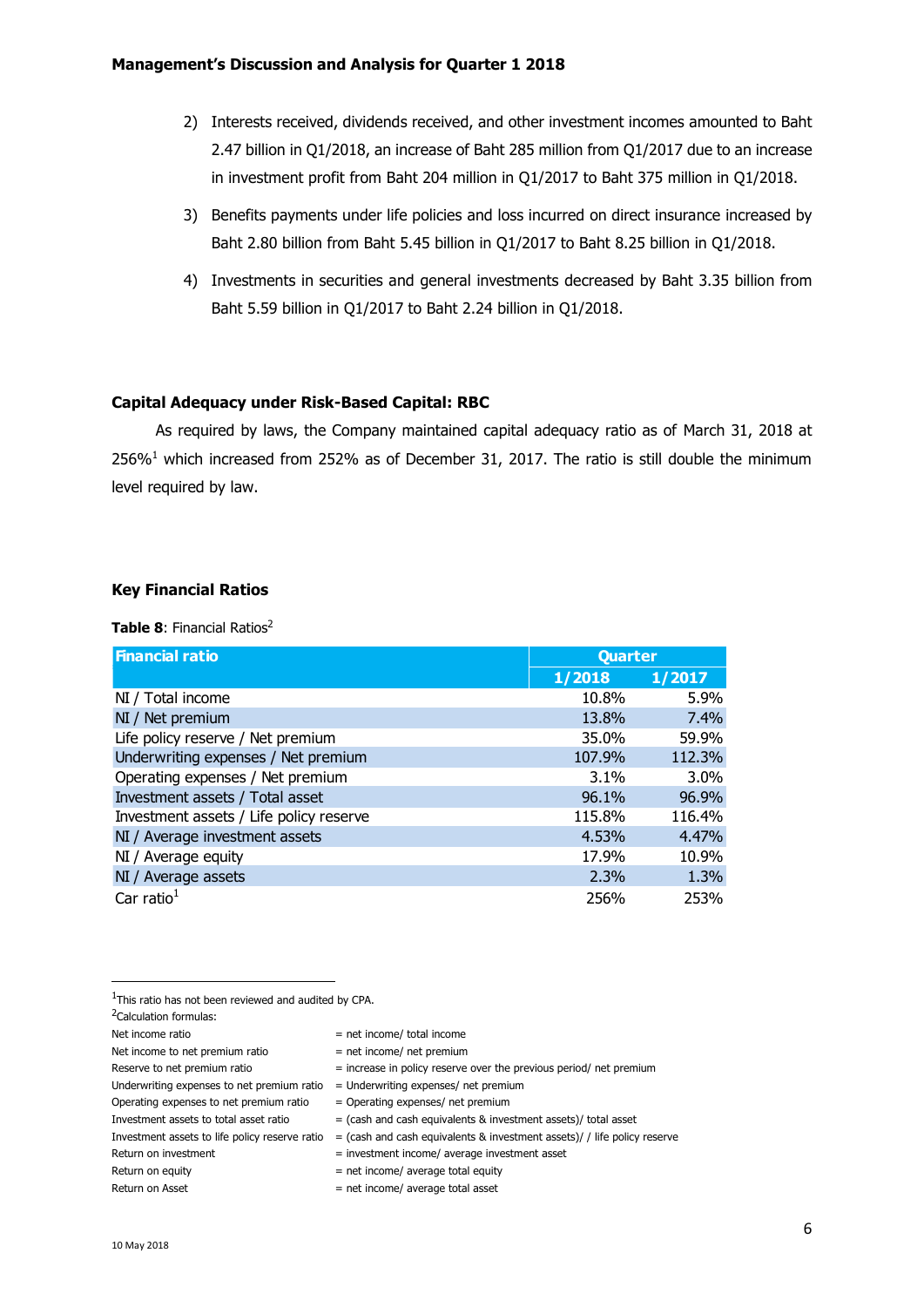- 2) Interests received, dividends received, and other investment incomes amounted to Baht 2.47 billion in Q1/2018, an increase of Baht 285 million from Q1/2017 due to an increase in investment profit from Baht 204 million in Q1/2017 to Baht 375 million in Q1/2018.
- 3) Benefits payments under life policies and loss incurred on direct insurance increased by Baht 2.80 billion from Baht 5.45 billion in Q1/2017 to Baht 8.25 billion in Q1/2018.
- 4) Investments in securities and general investments decreased by Baht 3.35 billion from Baht 5.59 billion in Q1/2017 to Baht 2.24 billion in Q1/2018.

# **Capital Adequacy under Risk-Based Capital: RBC**

As required by laws, the Company maintained capital adequacy ratio as of March 31, 2018 at 256%<sup>1</sup> which increased from 252% as of December 31, 2017. The ratio is still double the minimum level required by law.

# **Key Financial Ratios**

**Table 8:** Financial Ratios<sup>2</sup>

| <b>Financial ratio</b>                  | Quarter |        |
|-----------------------------------------|---------|--------|
|                                         | 1/2018  | 1/2017 |
| NI / Total income                       | 10.8%   | 5.9%   |
| NI / Net premium                        | 13.8%   | 7.4%   |
| Life policy reserve / Net premium       | 35.0%   | 59.9%  |
| Underwriting expenses / Net premium     | 107.9%  | 112.3% |
| Operating expenses / Net premium        | 3.1%    | 3.0%   |
| Investment assets / Total asset         | 96.1%   | 96.9%  |
| Investment assets / Life policy reserve | 115.8%  | 116.4% |
| NI / Average investment assets          | 4.53%   | 4.47%  |
| NI / Average equity                     | 17.9%   | 10.9%  |
| NI / Average assets                     | 2.3%    | 1.3%   |
| Car ratio $1$                           | 256%    | 253%   |

1

- Investment assets to total asset ratio  $=$  (cash and cash equivalents & investment assets)/ total asset
- Investment assets to life policy reserve ratio = (cash and cash equivalents & investment assets)/ / life policy reserve

- Return on investment = investment income/ average investment asset
- Return on equity  $=$  net income/ average total equity

<sup>1</sup>This ratio has not been reviewed and audited by CPA.

<sup>2</sup>Calculation formulas:

Net income ratio  $=$  net income/ total income

Net income to net premium ratio  $=$  net income/ net premium

Reserve to net premium ratio  $=$  increase in policy reserve over the previous period/ net premium

Underwriting expenses to net premium ratio  $=$  Underwriting expenses/ net premium

Operating expenses to net premium ratio  $=$  Operating expenses/ net premium

 $Return on Asset$  = net income/ average total asset